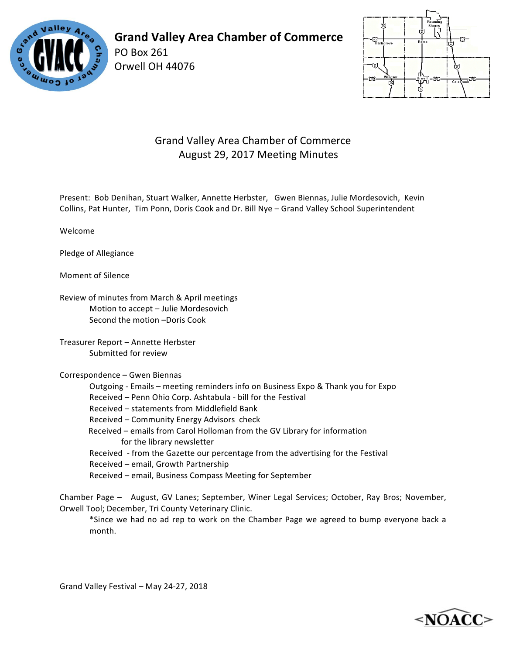

# **Grand Valley Area Chamber of Commerce**

PO Box 261 Orwell OH 44076



### Grand Valley Area Chamber of Commerce August 29, 2017 Meeting Minutes

Present: Bob Denihan, Stuart Walker, Annette Herbster, Gwen Biennas, Julie Mordesovich, Kevin Collins, Pat Hunter, Tim Ponn, Doris Cook and Dr. Bill Nye - Grand Valley School Superintendent

Welcome

Pledge of Allegiance

Moment of Silence

Review of minutes from March & April meetings Motion to accept - Julie Mordesovich Second the motion -Doris Cook

Treasurer Report - Annette Herbster Submitted for review

#### Correspondence – Gwen Biennas

Outgoing - Emails – meeting reminders info on Business Expo & Thank you for Expo Received – Penn Ohio Corp. Ashtabula - bill for the Festival Received - statements from Middlefield Bank Received - Community Energy Advisors check Received – emails from Carol Holloman from the GV Library for information for the library newsletter Received - from the Gazette our percentage from the advertising for the Festival Received - email, Growth Partnership Received - email, Business Compass Meeting for September

Chamber Page - August, GV Lanes; September, Winer Legal Services; October, Ray Bros; November, Orwell Tool; December, Tri County Veterinary Clinic.

\*Since we had no ad rep to work on the Chamber Page we agreed to bump everyone back a month.

Grand Valley Festival - May 24-27, 2018

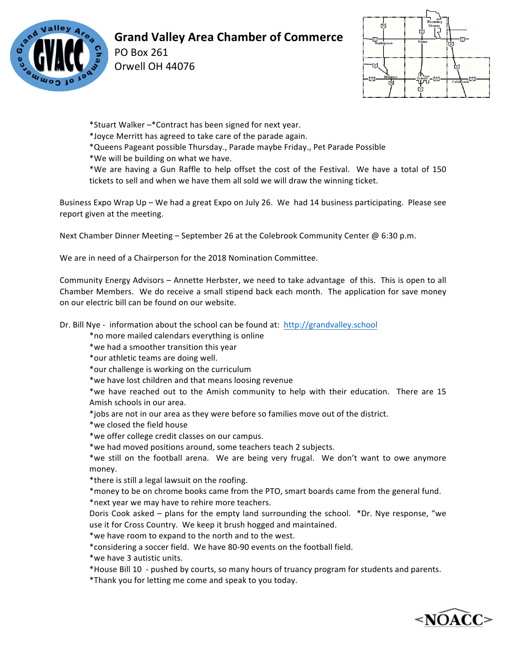

# **Grand Valley Area Chamber of Commerce**

PO Box 261 Orwell OH 44076



\*Stuart Walker -\*Contract has been signed for next year.

\*Joyce Merritt has agreed to take care of the parade again.

\*Queens Pageant possible Thursday., Parade maybe Friday., Pet Parade Possible 

\*We will be building on what we have.

\*We are having a Gun Raffle to help offset the cost of the Festival. We have a total of 150 tickets to sell and when we have them all sold we will draw the winning ticket.

Business Expo Wrap Up – We had a great Expo on July 26. We had 14 business participating. Please see report given at the meeting.

Next Chamber Dinner Meeting – September 26 at the Colebrook Community Center  $@6:30$  p.m.

We are in need of a Chairperson for the 2018 Nomination Committee.

Community Energy Advisors – Annette Herbster, we need to take advantage of this. This is open to all Chamber Members. We do receive a small stipend back each month. The application for save money on our electric bill can be found on our website.

Dr. Bill Nye - information about the school can be found at: http://grandvalley.school

\*no more mailed calendars everything is online

\*we had a smoother transition this year

\*our athletic teams are doing well.

\*our challenge is working on the curriculum

\*we have lost children and that means loosing revenue

\*we have reached out to the Amish community to help with their education. There are 15 Amish schools in our area.

\*jobs are not in our area as they were before so families move out of the district.

\*we closed the field house

\*we offer college credit classes on our campus.

\*we had moved positions around, some teachers teach 2 subjects.

\*we still on the football arena. We are being very frugal. We don't want to owe anymore money.

\* there is still a legal lawsuit on the roofing.

\*money to be on chrome books came from the PTO, smart boards came from the general fund. \*next year we may have to rehire more teachers.

Doris Cook asked  $-$  plans for the empty land surrounding the school.  $*$ Dr. Nye response, "we use it for Cross Country. We keep it brush hogged and maintained.

\*we have room to expand to the north and to the west.

\*considering a soccer field. We have 80-90 events on the football field.

\*we have 3 autistic units.

\*House Bill 10 - pushed by courts, so many hours of truancy program for students and parents.

\*Thank you for letting me come and speak to you today.